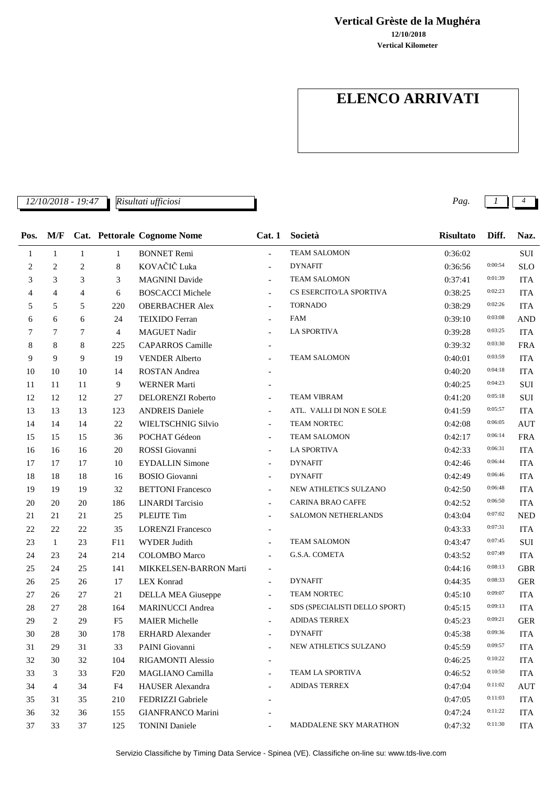**12/10/2018 Vertical Grèste de la Mughéra**

**Vertical Kilometer**

## **ELENCO ARRIVATI**

*12/10/2018 - 19:47 Pag. 1 4*

*Risultati ufficiosi*

| Pos.   | M/F            |                |                | Cat. Pettorale Cognome Nome | Cat.1                    | Società                       | <b>Risultato</b> | Diff.   | Naz.       |
|--------|----------------|----------------|----------------|-----------------------------|--------------------------|-------------------------------|------------------|---------|------------|
| 1      | $\mathbf{1}$   | $\mathbf{1}$   | $\mathbf{1}$   | <b>BONNET Remi</b>          | $\overline{a}$           | <b>TEAM SALOMON</b>           | 0:36:02          |         | SUI        |
| 2      | $\overline{c}$ | $\overline{c}$ | 8              | KOVAČIČ Luka                |                          | <b>DYNAFIT</b>                | 0:36:56          | 0:00:54 | <b>SLO</b> |
| 3      | 3              | 3              | 3              | <b>MAGNINI</b> Davide       | $\overline{a}$           | <b>TEAM SALOMON</b>           | 0:37:41          | 0:01:39 | <b>ITA</b> |
| 4      | $\overline{4}$ | $\overline{4}$ | 6              | <b>BOSCACCI Michele</b>     | $\overline{\phantom{a}}$ | CS ESERCITO/LA SPORTIVA       | 0:38:25          | 0:02:23 | <b>ITA</b> |
| 5      | 5              | 5              | 220            | <b>OBERBACHER Alex</b>      |                          | <b>TORNADO</b>                | 0:38:29          | 0:02:26 | <b>ITA</b> |
| 6      | 6              | 6              | 24             | <b>TEIXIDO</b> Ferran       | $\overline{a}$           | <b>FAM</b>                    | 0:39:10          | 0:03:08 | <b>AND</b> |
| 7      | 7              | 7              | 4              | <b>MAGUET Nadir</b>         |                          | <b>LA SPORTIVA</b>            | 0:39:28          | 0:03:25 | <b>ITA</b> |
| 8      | 8              | 8              | 225            | <b>CAPARROS</b> Camille     |                          |                               | 0:39:32          | 0:03:30 | <b>FRA</b> |
| 9      | 9              | 9              | 19             | <b>VENDER Alberto</b>       | $\overline{\phantom{a}}$ | <b>TEAM SALOMON</b>           | 0:40:01          | 0:03:59 | <b>ITA</b> |
| 10     | 10             | 10             | 14             | ROSTAN Andrea               |                          |                               | 0:40:20          | 0:04:18 | <b>ITA</b> |
| 11     | 11             | 11             | 9              | <b>WERNER Marti</b>         |                          |                               | 0:40:25          | 0:04:23 | SUI        |
| 12     | 12             | 12             | 27             | DELORENZI Roberto           | $\overline{\phantom{a}}$ | <b>TEAM VIBRAM</b>            | 0:41:20          | 0:05:18 | SUI        |
| 13     | 13             | 13             | 123            | <b>ANDREIS Daniele</b>      | $\blacksquare$           | ATL. VALLI DI NON E SOLE      | 0:41:59          | 0:05:57 | <b>ITA</b> |
| 14     | 14             | 14             | 22             | <b>WIELTSCHNIG Silvio</b>   | $\blacksquare$           | TEAM NORTEC                   | 0:42:08          | 0:06:05 | <b>AUT</b> |
| 15     | 15             | 15             | 36             | POCHAT Gédeon               | $\overline{\phantom{a}}$ | <b>TEAM SALOMON</b>           | 0:42:17          | 0:06:14 | <b>FRA</b> |
| 16     | 16             | 16             | 20             | ROSSI Giovanni              | $\blacksquare$           | <b>LA SPORTIVA</b>            | 0:42:33          | 0:06:31 | <b>ITA</b> |
| 17     | 17             | 17             | 10             | <b>EYDALLIN Simone</b>      |                          | <b>DYNAFIT</b>                | 0:42:46          | 0:06:44 | <b>ITA</b> |
| 18     | 18             | 18             | 16             | <b>BOSIO</b> Giovanni       | $\overline{\phantom{a}}$ | <b>DYNAFIT</b>                | 0:42:49          | 0:06:46 | <b>ITA</b> |
| 19     | 19             | 19             | 32             | <b>BETTONI</b> Francesco    | $\overline{\phantom{a}}$ | NEW ATHLETICS SULZANO         | 0:42:50          | 0:06:48 | <b>ITA</b> |
| 20     | 20             | 20             | 186            | <b>LINARDI</b> Tarcisio     |                          | CARINA BRAO CAFFE             | 0:42:52          | 0:06:50 | <b>ITA</b> |
| 21     | 21             | 21             | 25             | PLEIJTE Tim                 | $\overline{a}$           | SALOMON NETHERLANDS           | 0:43:04          | 0:07:02 | <b>NED</b> |
| 22     | 22             | 22             | 35             | <b>LORENZI Francesco</b>    | $\overline{\phantom{a}}$ |                               | 0:43:33          | 0:07:31 | <b>ITA</b> |
| $23\,$ | $\mathbf{1}$   | 23             | F11            | <b>WYDER Judith</b>         | $\overline{\phantom{a}}$ | <b>TEAM SALOMON</b>           | 0:43:47          | 0:07:45 | SUI        |
| 24     | 23             | 24             | 214            | <b>COLOMBO</b> Marco        |                          | G.S.A. COMETA                 | 0:43:52          | 0:07:49 | <b>ITA</b> |
| 25     | 24             | 25             | 141            | MIKKELSEN-BARRON Marti      | $\overline{\phantom{a}}$ |                               | 0:44:16          | 0:08:13 | <b>GBR</b> |
| 26     | 25             | 26             | 17             | <b>LEX Konrad</b>           | $\overline{a}$           | <b>DYNAFIT</b>                | 0:44:35          | 0:08:33 | <b>GER</b> |
| 27     | 26             | 27             | 21             | <b>DELLA MEA Giuseppe</b>   |                          | TEAM NORTEC                   | 0:45:10          | 0:09:07 | <b>ITA</b> |
| 28     | 27             | 28             | 164            | <b>MARINUCCI</b> Andrea     | $\blacksquare$           | SDS (SPECIALISTI DELLO SPORT) | 0:45:15          | 0:09:13 | <b>ITA</b> |
| 29     | 2              | 29             | F <sub>5</sub> | <b>MAIER Michelle</b>       |                          | <b>ADIDAS TERREX</b>          | 0:45:23          | 0:09:21 | <b>GER</b> |
| 30     | 28             | 30             | 178            | <b>ERHARD Alexander</b>     |                          | <b>DYNAFIT</b>                | 0:45:38          | 0:09:36 | <b>ITA</b> |
| 31     | 29             | 31             | 33             | PAINI Giovanni              | $\sim$                   | NEW ATHLETICS SULZANO         | 0:45:59          | 0:09:57 | <b>ITA</b> |
| 32     | 30             | 32             | 104            | <b>RIGAMONTI Alessio</b>    |                          |                               | 0:46:25          | 0:10:22 | <b>ITA</b> |
| 33     | 3              | 33             | F20            | MAGLIANO Camilla            |                          | TEAM LA SPORTIVA              | 0:46:52          | 0:10:50 | <b>ITA</b> |
| 34     | 4              | 34             | F4             | <b>HAUSER</b> Alexandra     |                          | <b>ADIDAS TERREX</b>          | 0:47:04          | 0:11:02 | <b>AUT</b> |
| 35     | 31             | 35             | 210            | FEDRIZZI Gabriele           |                          |                               | 0:47:05          | 0:11:03 | <b>ITA</b> |
| 36     | 32             | 36             | 155            | <b>GIANFRANCO Marini</b>    |                          |                               | 0:47:24          | 0:11:22 | <b>ITA</b> |
| 37     | 33             | 37             | 125            | <b>TONINI Daniele</b>       |                          | MADDALENE SKY MARATHON        | 0:47:32          | 0:11:30 | <b>ITA</b> |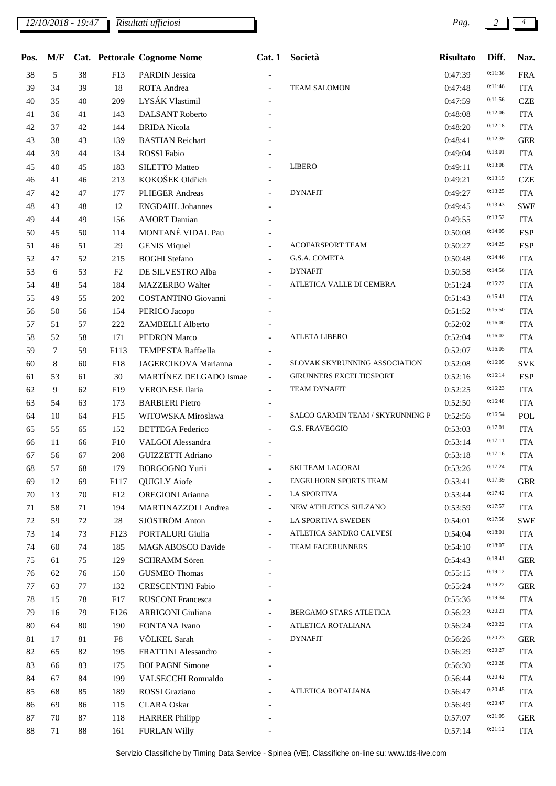*Risultati ufficiosi*

| Pos.   | M/F    |    |        | Cat. Pettorale Cognome Nome | Cat.1                    | Società                          | <b>Risultato</b> | Diff.   | Naz.       |
|--------|--------|----|--------|-----------------------------|--------------------------|----------------------------------|------------------|---------|------------|
| 38     | 5      | 38 | F13    | <b>PARDIN Jessica</b>       |                          |                                  | 0:47:39          | 0:11:36 | <b>FRA</b> |
| 39     | 34     | 39 | $18\,$ | ROTA Andrea                 | $\equiv$                 | <b>TEAM SALOMON</b>              | 0:47:48          | 0:11:46 | <b>ITA</b> |
| 40     | 35     | 40 | 209    | LYSÁK Vlastimil             |                          |                                  | 0:47:59          | 0:11:56 | <b>CZE</b> |
| 41     | 36     | 41 | 143    | <b>DALSANT Roberto</b>      |                          |                                  | 0:48:08          | 0:12:06 | <b>ITA</b> |
| 42     | 37     | 42 | 144    | <b>BRIDA</b> Nicola         |                          |                                  | 0:48:20          | 0:12:18 | <b>ITA</b> |
| 43     | 38     | 43 | 139    | <b>BASTIAN Reichart</b>     |                          |                                  | 0:48:41          | 0:12:39 | <b>GER</b> |
| 44     | 39     | 44 | 134    | ROSSI Fabio                 |                          |                                  | 0:49:04          | 0:13:01 | <b>ITA</b> |
| 45     | 40     | 45 | 183    | SILETTO Matteo              |                          | <b>LIBERO</b>                    | 0:49:11          | 0:13:08 | <b>ITA</b> |
| 46     | 41     | 46 | 213    | KOKOŠEK Oldřich             |                          |                                  | 0:49:21          | 0:13:19 | <b>CZE</b> |
| 47     | 42     | 47 | 177    | PLIEGER Andreas             |                          | <b>DYNAFIT</b>                   | 0:49:27          | 0:13:25 | <b>ITA</b> |
| 48     | 43     | 48 | 12     | <b>ENGDAHL Johannes</b>     |                          |                                  | 0:49:45          | 0:13:43 | SWE        |
| 49     | 44     | 49 | 156    | <b>AMORT</b> Damian         |                          |                                  | 0:49:55          | 0:13:52 | <b>ITA</b> |
| 50     | 45     | 50 | 114    | MONTANÉ VIDAL Pau           |                          |                                  | 0:50:08          | 0:14:05 | <b>ESP</b> |
| 51     | 46     | 51 | 29     | <b>GENIS Miquel</b>         |                          | ACOFARSPORT TEAM                 | 0:50:27          | 0:14:25 | <b>ESP</b> |
| 52     | 47     | 52 | 215    | <b>BOGHI</b> Stefano        |                          | G.S.A. COMETA                    | 0:50:48          | 0:14:46 | <b>ITA</b> |
| 53     | 6      | 53 | F2     | DE SILVESTRO Alba           |                          | <b>DYNAFIT</b>                   | 0:50:58          | 0:14:56 | <b>ITA</b> |
| 54     | 48     | 54 | 184    | <b>MAZZERBO</b> Walter      |                          | ATLETICA VALLE DI CEMBRA         | 0:51:24          | 0:15:22 | <b>ITA</b> |
| 55     | 49     | 55 | 202    | COSTANTINO Giovanni         |                          |                                  | 0:51:43          | 0:15:41 | <b>ITA</b> |
| 56     | 50     | 56 | 154    | PERICO Jacopo               |                          |                                  | 0:51:52          | 0:15:50 | <b>ITA</b> |
| 57     | 51     | 57 | 222    | ZAMBELLI Alberto            |                          |                                  | 0:52:02          | 0:16:00 | <b>ITA</b> |
| 58     | 52     | 58 | 171    | PEDRON Marco                | $\overline{a}$           | <b>ATLETA LIBERO</b>             | 0:52:04          | 0:16:02 | <b>ITA</b> |
| 59     | $\tau$ | 59 | F113   | TEMPESTA Raffaella          |                          |                                  | 0:52:07          | 0:16:05 | <b>ITA</b> |
| 60     | 8      | 60 | F18    | JAGERCIKOVA Marianna        | $\blacksquare$           | SLOVAK SKYRUNNING ASSOCIATION    | 0:52:08          | 0:16:05 | SVK        |
| 61     | 53     | 61 | 30     | MARTÍNEZ DELGADO Ismae      | $\blacksquare$           | <b>GIRUNNERS EXCELTICSPORT</b>   | 0:52:16          | 0:16:14 | <b>ESP</b> |
| 62     | 9      | 62 | F19    | <b>VERONESE</b> Ilaria      | $\blacksquare$           | <b>TEAM DYNAFIT</b>              | 0:52:25          | 0:16:23 | <b>ITA</b> |
| 63     | 54     | 63 | 173    | <b>BARBIERI</b> Pietro      |                          |                                  | 0:52:50          | 0:16:48 | <b>ITA</b> |
| 64     | 10     | 64 | F15    | WITOWSKA Miroslawa          | $\blacksquare$           | SALCO GARMIN TEAM / SKYRUNNING P | 0:52:56          | 0:16:54 | POL        |
| 65     | 55     | 65 | 152    | <b>BETTEGA</b> Federico     |                          | <b>G.S. FRAVEGGIO</b>            | 0:53:03          | 0:17:01 | <b>ITA</b> |
| 66     | 11     | 66 | F10    | VALGOI Alessandra           |                          |                                  | 0:53:14          | 0:17:11 | <b>ITA</b> |
| 67     | 56     | 67 | 208    | <b>GUIZZETTI Adriano</b>    |                          |                                  | 0:53:18          | 0:17:16 | <b>ITA</b> |
| 68     | 57     | 68 | 179    | BORGOGNO Yurii              |                          | SKI TEAM LAGORAI                 | 0:53:26          | 0:17:24 | <b>ITA</b> |
| 69     | 12     | 69 | F117   | <b>QUIGLY</b> Aiofe         |                          | <b>ENGELHORN SPORTS TEAM</b>     | 0:53:41          | 0:17:39 | <b>GBR</b> |
| 70     | 13     | 70 | F12    | <b>OREGIONI</b> Arianna     | $\blacksquare$           | LA SPORTIVA                      | 0:53:44          | 0:17:42 | <b>ITA</b> |
| 71     | 58     | 71 | 194    | MARTINAZZOLI Andrea         | $\overline{\phantom{a}}$ | NEW ATHLETICS SULZANO            | 0:53:59          | 0:17:57 | <b>ITA</b> |
| 72     | 59     | 72 | $28\,$ | SJÖSTRÖM Anton              |                          | LA SPORTIVA SWEDEN               | 0:54:01          | 0:17:58 | <b>SWE</b> |
| 73     | 14     | 73 | F123   | PORTALURI Giulia            | $\blacksquare$           | ATLETICA SANDRO CALVESI          | 0:54:04          | 0:18:01 | <b>ITA</b> |
| 74     | 60     | 74 | 185    | MAGNABOSCO Davide           | $\equiv$                 | TEAM FACERUNNERS                 | 0:54:10          | 0:18:07 | <b>ITA</b> |
| 75     | 61     | 75 | 129    | <b>SCHRAMM Sören</b>        |                          |                                  | 0:54:43          | 0:18:41 | <b>GER</b> |
| 76     | 62     | 76 | 150    | <b>GUSMEO Thomas</b>        |                          |                                  | 0:55:15          | 0:19:12 | <b>ITA</b> |
| 77     | 63     | 77 | 132    | <b>CRESCENTINI Fabio</b>    |                          |                                  | 0:55:24          | 0:19:22 | <b>GER</b> |
| 78     | 15     | 78 | F17    | <b>RUSCONI Francesca</b>    |                          |                                  | 0:55:36          | 0:19:34 | <b>ITA</b> |
| 79     | 16     | 79 | F126   | ARRIGONI Giuliana           | $\overline{\phantom{a}}$ | BERGAMO STARS ATLETICA           | 0:56:23          | 0:20:21 | <b>ITA</b> |
| $80\,$ | 64     | 80 | 190    | FONTANA Ivano               |                          | ATLETICA ROTALIANA               | 0:56:24          | 0:20:22 | <b>ITA</b> |
| 81     | 17     | 81 | F8     | VÖLKEL Sarah                |                          | <b>DYNAFIT</b>                   | 0:56:26          | 0:20:23 | <b>GER</b> |
| 82     | 65     | 82 | 195    | FRATTINI Alessandro         |                          |                                  | 0:56:29          | 0:20:27 | <b>ITA</b> |
| 83     | 66     | 83 | 175    | <b>BOLPAGNI Simone</b>      |                          |                                  | 0:56:30          | 0:20:28 | <b>ITA</b> |
| 84     | 67     | 84 | 199    | VALSECCHI Romualdo          |                          |                                  | 0:56:44          | 0:20:42 | <b>ITA</b> |
| 85     | 68     | 85 | 189    | ROSSI Graziano              |                          | ATLETICA ROTALIANA               | 0:56:47          | 0:20:45 | <b>ITA</b> |
| 86     | 69     | 86 | 115    | <b>CLARA</b> Oskar          |                          |                                  | 0:56:49          | 0:20:47 | <b>ITA</b> |
| 87     | 70     | 87 | 118    | <b>HARRER Philipp</b>       |                          |                                  | 0:57:07          | 0:21:05 | <b>GER</b> |
| 88     | 71     | 88 | 161    | <b>FURLAN Willy</b>         |                          |                                  | 0:57:14          | 0:21:12 | <b>ITA</b> |
|        |        |    |        |                             |                          |                                  |                  |         |            |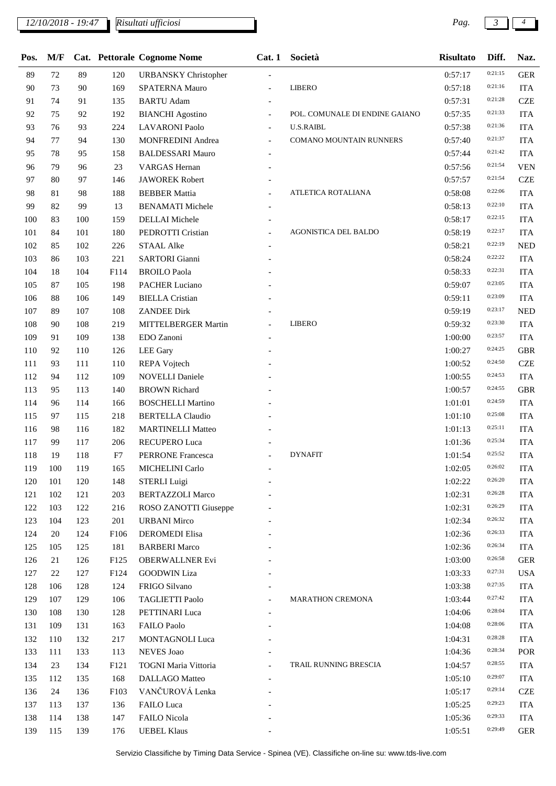*Risultati ufficiosi*

L

| Pos. | M/F |     |        | Cat. Pettorale Cognome Nome | Cat.1                    | Società                        | <b>Risultato</b> | Diff.   | Naz.       |
|------|-----|-----|--------|-----------------------------|--------------------------|--------------------------------|------------------|---------|------------|
| 89   | 72  | 89  | 120    | <b>URBANSKY</b> Christopher |                          |                                | 0:57:17          | 0:21:15 | <b>GER</b> |
| 90   | 73  | 90  | 169    | SPATERNA Mauro              | $\frac{1}{2}$            | <b>LIBERO</b>                  | 0:57:18          | 0:21:16 | <b>ITA</b> |
| 91   | 74  | 91  | 135    | <b>BARTU</b> Adam           |                          |                                | 0:57:31          | 0:21:28 | <b>CZE</b> |
| 92   | 75  | 92  | 192    | <b>BIANCHI</b> Agostino     | $\overline{\phantom{a}}$ | POL. COMUNALE DI ENDINE GAIANO | 0:57:35          | 0:21:33 | <b>ITA</b> |
| 93   | 76  | 93  | 224    | <b>LAVARONI</b> Paolo       | $\overline{a}$           | <b>U.S.RAIBL</b>               | 0:57:38          | 0:21:36 | <b>ITA</b> |
| 94   | 77  | 94  | 130    | MONFREDINI Andrea           | $\overline{\phantom{a}}$ | COMANO MOUNTAIN RUNNERS        | 0:57:40          | 0:21:37 | <b>ITA</b> |
| 95   | 78  | 95  | 158    | <b>BALDESSARI Mauro</b>     |                          |                                | 0:57:44          | 0:21:42 | <b>ITA</b> |
| 96   | 79  | 96  | $23\,$ | <b>VARGAS</b> Hernan        |                          |                                | 0:57:56          | 0:21:54 | <b>VEN</b> |
| 97   | 80  | 97  | 146    | <b>JAWOREK Robert</b>       |                          |                                | 0:57:57          | 0:21:54 | <b>CZE</b> |
| 98   | 81  | 98  | 188    | <b>BEBBER Mattia</b>        |                          | ATLETICA ROTALIANA             | 0:58:08          | 0:22:06 | <b>ITA</b> |
| 99   | 82  | 99  | 13     | <b>BENAMATI Michele</b>     |                          |                                | 0:58:13          | 0:22:10 | <b>ITA</b> |
| 100  | 83  | 100 | 159    | <b>DELLAI</b> Michele       |                          |                                | 0:58:17          | 0:22:15 | <b>ITA</b> |
| 101  | 84  | 101 | 180    | PEDROTTI Cristian           |                          | AGONISTICA DEL BALDO           | 0:58:19          | 0:22:17 | <b>ITA</b> |
| 102  | 85  | 102 | 226    | <b>STAAL Alke</b>           |                          |                                | 0:58:21          | 0:22:19 | <b>NED</b> |
| 103  | 86  | 103 | 221    | <b>SARTORI</b> Gianni       |                          |                                | 0:58:24          | 0:22:22 | <b>ITA</b> |
| 104  | 18  | 104 | F114   | <b>BROILO</b> Paola         |                          |                                | 0:58:33          | 0:22:31 | <b>ITA</b> |
| 105  | 87  | 105 | 198    | <b>PACHER Luciano</b>       |                          |                                | 0:59:07          | 0:23:05 | <b>ITA</b> |
| 106  | 88  | 106 | 149    | <b>BIELLA</b> Cristian      |                          |                                | 0:59:11          | 0:23:09 | <b>ITA</b> |
| 107  | 89  | 107 | 108    | <b>ZANDEE Dirk</b>          |                          |                                | 0:59:19          | 0:23:17 | <b>NED</b> |
| 108  | 90  | 108 | 219    | MITTELBERGER Martin         | $\overline{a}$           | <b>LIBERO</b>                  | 0:59:32          | 0:23:30 | <b>ITA</b> |
| 109  | 91  | 109 | 138    | EDO Zanoni                  |                          |                                | 1:00:00          | 0:23:57 | <b>ITA</b> |
| 110  | 92  | 110 | 126    | <b>LEE</b> Gary             |                          |                                | 1:00:27          | 0:24:25 | <b>GBR</b> |
| 111  | 93  | 111 | 110    | REPA Vojtech                |                          |                                | 1:00:52          | 0:24:50 | <b>CZE</b> |
| 112  | 94  | 112 | 109    | <b>NOVELLI Daniele</b>      |                          |                                | 1:00:55          | 0:24:53 | <b>ITA</b> |
| 113  | 95  | 113 | 140    | <b>BROWN Richard</b>        |                          |                                | 1:00:57          | 0:24:55 | <b>GBR</b> |
| 114  | 96  | 114 | 166    | <b>BOSCHELLI Martino</b>    |                          |                                | 1:01:01          | 0:24:59 | <b>ITA</b> |
| 115  | 97  | 115 | 218    | <b>BERTELLA Claudio</b>     |                          |                                | 1:01:10          | 0:25:08 | <b>ITA</b> |
| 116  | 98  | 116 | 182    | <b>MARTINELLI Matteo</b>    |                          |                                | 1:01:13          | 0:25:11 | <b>ITA</b> |
| 117  | 99  | 117 | 206    | RECUPERO Luca               |                          |                                | 1:01:36          | 0:25:34 | <b>ITA</b> |
| 118  | 19  | 118 | F7     | PERRONE Francesca           |                          | <b>DYNAFIT</b>                 | 1:01:54          | 0:25:52 | <b>ITA</b> |
| 119  | 100 | 119 | 165    | MICHELINI Carlo             |                          |                                | 1:02:05          | 0:26:02 | <b>ITA</b> |
| 120  | 101 | 120 | 148    | <b>STERLI Luigi</b>         |                          |                                | 1:02:22          | 0:26:20 | <b>ITA</b> |
| 121  | 102 | 121 | 203    | <b>BERTAZZOLI Marco</b>     |                          |                                | 1:02:31          | 0:26:28 | <b>ITA</b> |
| 122  | 103 | 122 | 216    | ROSO ZANOTTI Giuseppe       |                          |                                | 1:02:31          | 0:26:29 | <b>ITA</b> |
| 123  | 104 | 123 | 201    | <b>URBANI</b> Mirco         |                          |                                | 1:02:34          | 0:26:32 | <b>ITA</b> |
| 124  | 20  | 124 | F106   | <b>DEROMEDI Elisa</b>       |                          |                                | 1:02:36          | 0:26:33 | <b>ITA</b> |
| 125  | 105 | 125 | 181    | <b>BARBERI</b> Marco        |                          |                                | 1:02:36          | 0:26:34 | <b>ITA</b> |
| 126  | 21  | 126 | F125   | <b>OBERWALLNER Evi</b>      |                          |                                | 1:03:00          | 0:26:58 | <b>GER</b> |
| 127  | 22  | 127 | F124   | <b>GOODWIN Liza</b>         |                          |                                | 1:03:33          | 0:27:31 | <b>USA</b> |
| 128  | 106 | 128 | 124    | FRIGO Silvano               |                          |                                | 1:03:38          | 0:27:35 | <b>ITA</b> |
| 129  | 107 | 129 | 106    | <b>TAGLIETTI Paolo</b>      |                          | MARATHON CREMONA               | 1:03:44          | 0:27:42 | <b>ITA</b> |
| 130  | 108 | 130 | 128    | PETTINARI Luca              |                          |                                | 1:04:06          | 0:28:04 | <b>ITA</b> |
| 131  | 109 | 131 | 163    | FAILO Paolo                 |                          |                                | 1:04:08          | 0:28:06 | <b>ITA</b> |
| 132  | 110 | 132 | 217    | MONTAGNOLI Luca             |                          |                                | 1:04:31          | 0:28:28 | <b>ITA</b> |
| 133  | 111 | 133 | 113    | <b>NEVES</b> Joao           |                          |                                | 1:04:36          | 0:28:34 | POR        |
| 134  | 23  | 134 | F121   | TOGNI Maria Vittoria        | $\overline{a}$           | TRAIL RUNNING BRESCIA          | 1:04:57          | 0:28:55 | <b>ITA</b> |
| 135  | 112 | 135 | 168    | DALLAGO Matteo              |                          |                                | 1:05:10          | 0:29:07 | <b>ITA</b> |
| 136  | 24  | 136 | F103   | VANČUROVÁ Lenka             |                          |                                | 1:05:17          | 0:29:14 | <b>CZE</b> |
| 137  | 113 | 137 | 136    | FAILO Luca                  |                          |                                | 1:05:25          | 0:29:23 | <b>ITA</b> |
| 138  | 114 | 138 | 147    | FAILO Nicola                |                          |                                | 1:05:36          | 0:29:33 | <b>ITA</b> |
| 139  | 115 | 139 | 176    | <b>UEBEL Klaus</b>          |                          |                                | 1:05:51          | 0:29:49 | <b>GER</b> |
|      |     |     |        |                             |                          |                                |                  |         |            |